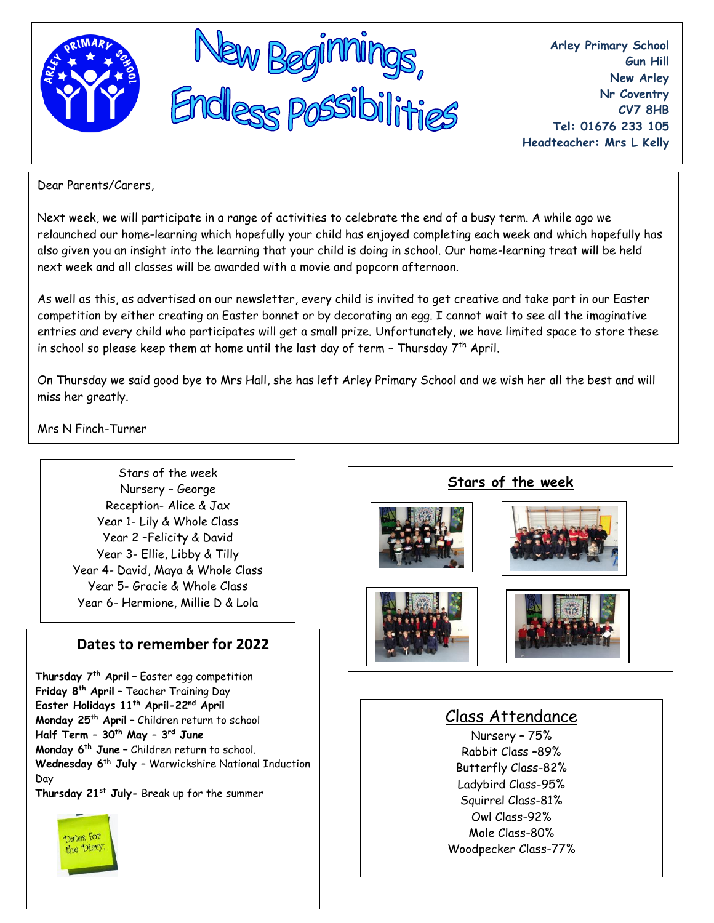

**Arley Primary School Gun Hill New Arley Nr Coventry CV7 8HB Tel: 01676 233 105 Headteacher: Mrs L Kelly**

Dear Parents/Carers,

Next week, we will participate in a range of activities to celebrate the end of a busy term. A while ago we relaunched our home-learning which hopefully your child has enjoyed completing each week and which hopefully has also given you an insight into the learning that your child is doing in school. Our home-learning treat will be held next week and all classes will be awarded with a movie and popcorn afternoon.

As well as this, as advertised on our newsletter, every child is invited to get creative and take part in our Easter competition by either creating an Easter bonnet or by decorating an egg. I cannot wait to see all the imaginative entries and every child who participates will get a small prize. Unfortunately, we have limited space to store these in school so please keep them at home until the last day of term - Thursday  $7<sup>th</sup>$  April.

On Thursday we said good bye to Mrs Hall, she has left Arley Primary School and we wish her all the best and will miss her greatly.

Mrs N Finch-Turner

Stars of the week Nursery – George Reception- Alice & Jax Year 1- Lily & Whole Class Year 2 –Felicity & David Year 3- Ellie, Libby & Tilly Year 4- David, Maya & Whole Class Year 5- Gracie & Whole Class Year 6- Hermione, Millie D & Lola

# **Dates to remember for 2022**

**Thursday 7th April –** Easter egg competition **Friday 8th April –** Teacher Training Day **Easter Holidays 11th April-22nd April Monday 25th April –** Children return to school **Half Term – 30th May – 3 rd June Monday 6th June –** Children return to school. **Wednesday 6th July –** Warwickshire National Induction Day **Thursday 21st July-** Break up for the summer

Dotes for he Diary











# Class Attendance

Nursery – 75% Rabbit Class –89% Butterfly Class-82% Ladybird Class-95% Squirrel Class-81% Owl Class-92% Mole Class-80% Woodpecker Class-77%